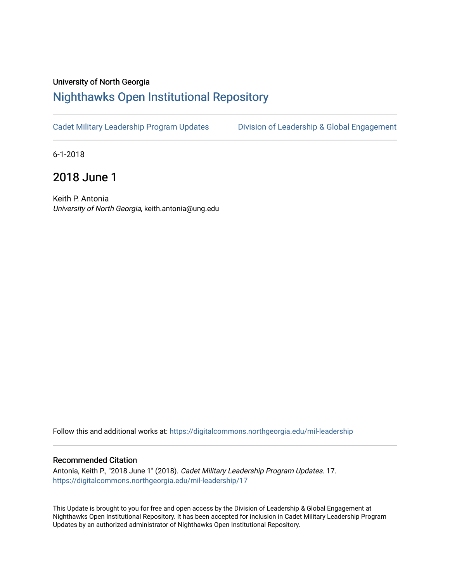## University of North Georgia

## [Nighthawks Open Institutional Repository](https://digitalcommons.northgeorgia.edu/)

[Cadet Military Leadership Program Updates](https://digitalcommons.northgeorgia.edu/mil-leadership) Division of Leadership & Global Engagement

6-1-2018

## 2018 June 1

Keith P. Antonia University of North Georgia, keith.antonia@ung.edu

Follow this and additional works at: [https://digitalcommons.northgeorgia.edu/mil-leadership](https://digitalcommons.northgeorgia.edu/mil-leadership?utm_source=digitalcommons.northgeorgia.edu%2Fmil-leadership%2F17&utm_medium=PDF&utm_campaign=PDFCoverPages) 

## Recommended Citation

Antonia, Keith P., "2018 June 1" (2018). Cadet Military Leadership Program Updates. 17. [https://digitalcommons.northgeorgia.edu/mil-leadership/17](https://digitalcommons.northgeorgia.edu/mil-leadership/17?utm_source=digitalcommons.northgeorgia.edu%2Fmil-leadership%2F17&utm_medium=PDF&utm_campaign=PDFCoverPages)

This Update is brought to you for free and open access by the Division of Leadership & Global Engagement at Nighthawks Open Institutional Repository. It has been accepted for inclusion in Cadet Military Leadership Program Updates by an authorized administrator of Nighthawks Open Institutional Repository.